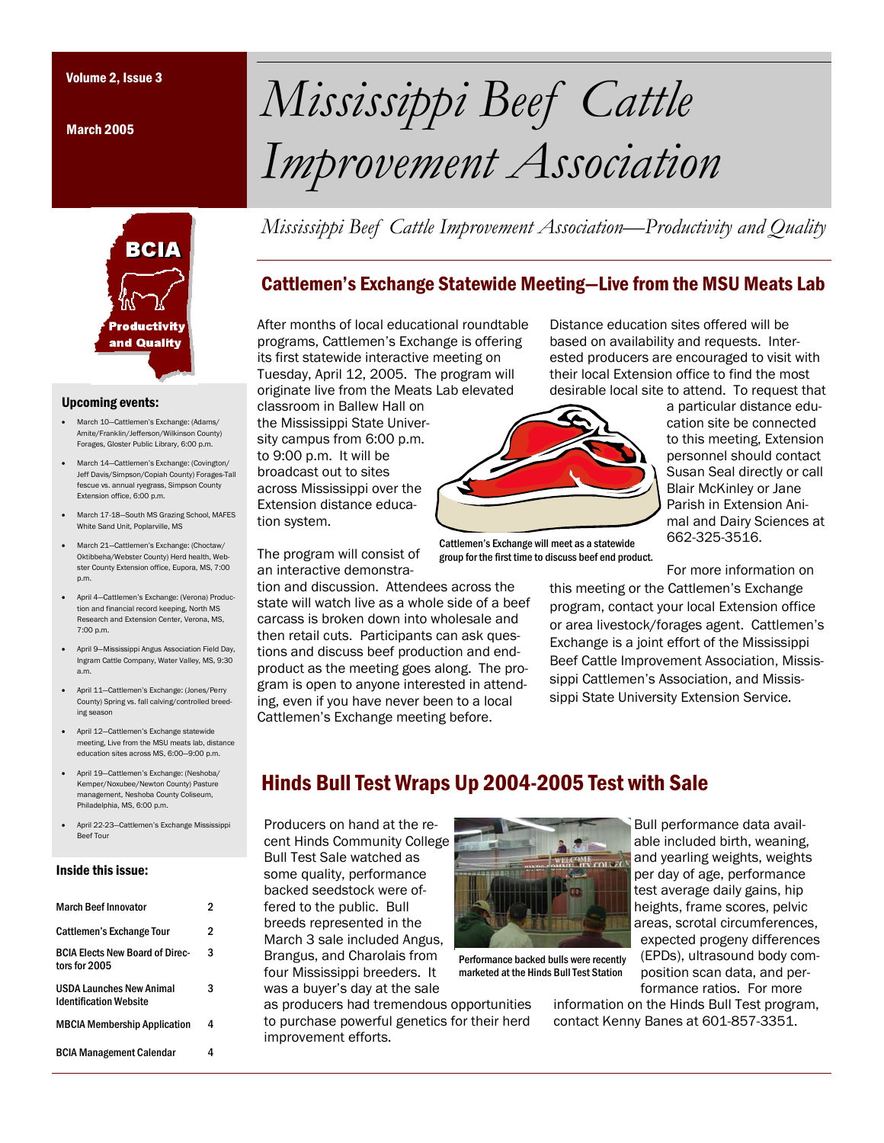March 2005



#### Upcoming events:

- March 10—Cattlemen's Exchange: (Adams/ Amite/Franklin/Jefferson/Wilkinson County) Forages, Gloster Public Library, 6:00 p.m.
- March 14—Cattlemen's Exchange: (Covington/ Jeff Davis/Simpson/Copiah County) Forages-Tall fescue vs. annual ryegrass, Simpson County Extension office, 6:00 p.m.
- March 17-18—South MS Grazing School, MAFES White Sand Unit, Poplarville, MS
- March 21—Cattlemen's Exchange: (Choctaw/ Oktibbeha/Webster County) Herd health, Webster County Extension office, Eupora, MS, 7:00 p.m.
- April 4—Cattlemen's Exchange: (Verona) Production and financial record keeping, North MS Research and Extension Center, Verona, MS, 7:00 p.m.
- April 9—Mississippi Angus Association Field Day, Ingram Cattle Company, Water Valley, MS, 9:30 a.m.
- April 11—Cattlemen's Exchange: (Jones/Perry County) Spring vs. fall calving/controlled breeding season
- April 12—Cattlemen's Exchange statewide meeting, Live from the MSU meats lab, distance education sites across MS, 6:00—9:00 p.m.
- April 19—Cattlemen's Exchange: (Neshoba/ Kemper/Noxubee/Newton County) Pasture management, Neshoba County Coliseum, Philadelphia, MS, 6:00 p.m.
- April 22-23—Cattlemen's Exchange Mississippi Beef Tour

#### Inside this issue:

| March Beef Innovator                                    | 2 |
|---------------------------------------------------------|---|
| <b>Cattlemen's Exchange Tour</b>                        | 2 |
| <b>BCIA Flects New Board of Direc-</b><br>tors for 2005 | 3 |
| USDA Launches New Animal<br>Identification Website      | 3 |
| <b>MBCIA Membership Application</b>                     | 4 |
| <b>BCIA Management Calendar</b>                         | Δ |

# Volume 2, Issue 3 *Mississippi Beef Cattle Improvement Association*

*Mississippi Beef Cattle Improvement Association—Productivity and Quality* 

## Cattlemen's Exchange Statewide Meeting—Live from the MSU Meats Lab

After months of local educational roundtable programs, Cattlemen's Exchange is offering its first statewide interactive meeting on Tuesday, April 12, 2005. The program will originate live from the Meats Lab elevated classroom in Ballew Hall on

the Mississippi State University campus from 6:00 p.m. to 9:00 p.m. It will be broadcast out to sites across Mississippi over the Extension distance education system.

The program will consist of an interactive demonstra-

tion and discussion. Attendees across the state will watch live as a whole side of a beef carcass is broken down into wholesale and then retail cuts. Participants can ask questions and discuss beef production and endproduct as the meeting goes along. The program is open to anyone interested in attending, even if you have never been to a local Cattlemen's Exchange meeting before.

Distance education sites offered will be based on availability and requests. Interested producers are encouraged to visit with their local Extension office to find the most desirable local site to attend. To request that

> a particular distance education site be connected to this meeting, Extension personnel should contact Susan Seal directly or call Blair McKinley or Jane Parish in Extension Ani-



Cattlemen's Exchange will meet as a statewide group for the first time to discuss beef end product.

mal and Dairy Sciences at 662-325-3516. For more information on this meeting or the Cattlemen's Exchange program, contact your local Extension office or area livestock/forages agent. Cattlemen's Exchange is a joint effort of the Mississippi Beef Cattle Improvement Association, Mississippi Cattlemen's Association, and Missis-

sippi State University Extension Service.

## Hinds Bull Test Wraps Up 2004-2005 Test with Sale

Producers on hand at the recent Hinds Community College Bull Test Sale watched as some quality, performance backed seedstock were offered to the public. Bull breeds represented in the March 3 sale included Angus, Brangus, and Charolais from four Mississippi breeders. It was a buyer's day at the sale

as producers had tremendous opportunities to purchase powerful genetics for their herd improvement efforts.



Performance backed bulls were recently marketed at the Hinds Bull Test Station

Bull performance data available included birth, weaning, and yearling weights, weights per day of age, performance test average daily gains, hip heights, frame scores, pelvic areas, scrotal circumferences, expected progeny differences (EPDs), ultrasound body composition scan data, and performance ratios. For more

information on the Hinds Bull Test program, contact Kenny Banes at 601-857-3351.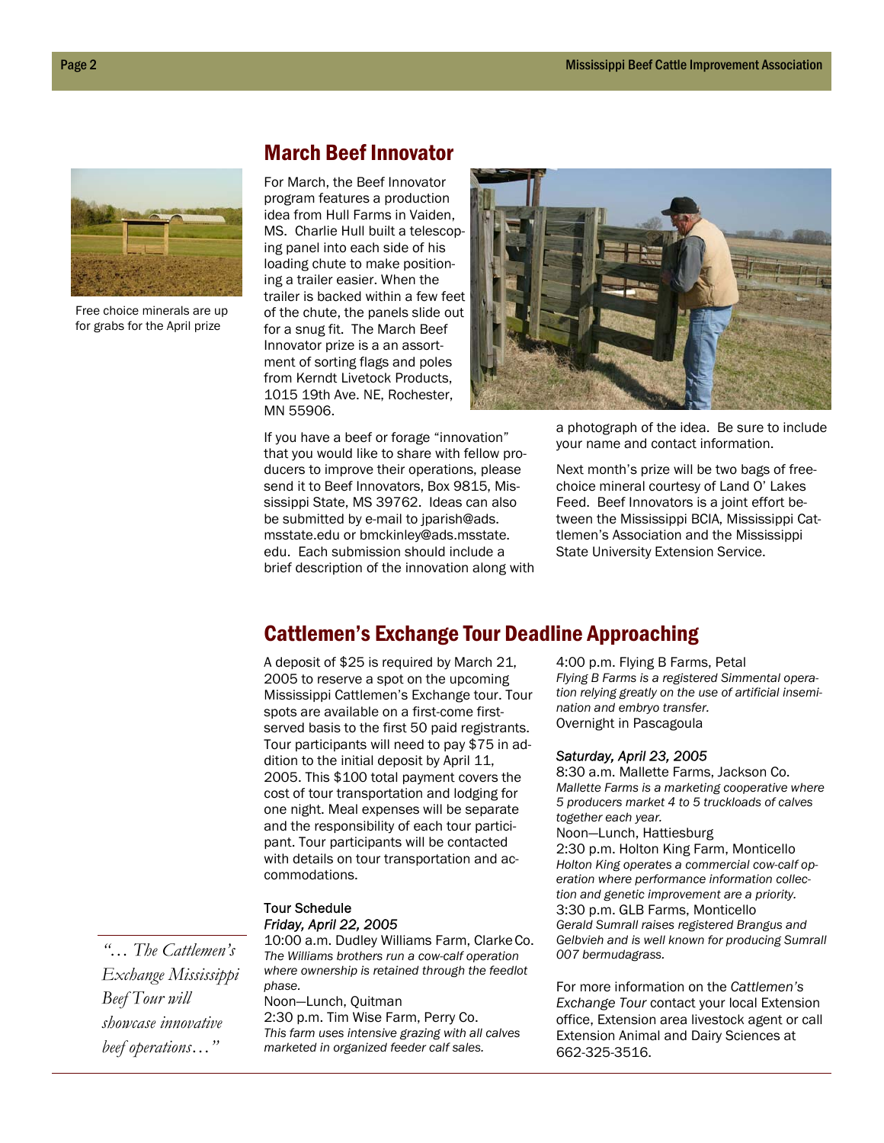

Free choice minerals are up for grabs for the April prize

## March Beef Innovator

For March, the Beef Innovator program features a production idea from Hull Farms in Vaiden, MS. Charlie Hull built a telescoping panel into each side of his loading chute to make positioning a trailer easier. When the trailer is backed within a few feet of the chute, the panels slide out for a snug fit. The March Beef Innovator prize is a an assortment of sorting flags and poles from Kerndt Livetock Products, 1015 19th Ave. NE, Rochester, MN 55906.



If you have a beef or forage "innovation" that you would like to share with fellow producers to improve their operations, please send it to Beef Innovators, Box 9815, Mississippi State, MS 39762. Ideas can also be submitted by e-mail to jparish@ads. msstate.edu or bmckinley@ads.msstate. edu. Each submission should include a brief description of the innovation along with

a photograph of the idea. Be sure to include your name and contact information.

Next month's prize will be two bags of freechoice mineral courtesy of Land O' Lakes Feed. Beef Innovators is a joint effort between the Mississippi BCIA, Mississippi Cattlemen's Association and the Mississippi State University Extension Service.

## Cattlemen's Exchange Tour Deadline Approaching

A deposit of \$25 is required by March 21, 2005 to reserve a spot on the upcoming Mississippi Cattlemen's Exchange tour. Tour spots are available on a first-come firstserved basis to the first 50 paid registrants. Tour participants will need to pay \$75 in addition to the initial deposit by April 11, 2005. This \$100 total payment covers the cost of tour transportation and lodging for one night. Meal expenses will be separate and the responsibility of each tour participant. Tour participants will be contacted with details on tour transportation and accommodations.

#### Tour Schedule *Friday, April 22, 2005*

10:00 a.m. Dudley Williams Farm, ClarkeCo. *The Williams brothers run a cow-calf operation where ownership is retained through the feedlot phase.* 

Noon—Lunch, Quitman 2:30 p.m. Tim Wise Farm, Perry Co. *This farm uses intensive grazing with all calves marketed in organized feeder calf sales.* 

4:00 p.m. Flying B Farms, Petal *Flying B Farms is a registered Simmental operation relying greatly on the use of artificial insemination and embryo transfer.*  Overnight in Pascagoula

#### *Saturday, April 23, 2005*

8:30 a.m. Mallette Farms, Jackson Co. *Mallette Farms is a marketing cooperative where 5 producers market 4 to 5 truckloads of calves together each year.* 

Noon—Lunch, Hattiesburg 2:30 p.m. Holton King Farm, Monticello *Holton King operates a commercial cow-calf operation where performance information collection and genetic improvement are a priority.*  3:30 p.m. GLB Farms, Monticello *Gerald Sumrall raises registered Brangus and Gelbvieh and is well known for producing Sumrall 007 bermudagrass.* 

For more information on the *Cattlemen's Exchange Tour* contact your local Extension office, Extension area livestock agent or call Extension Animal and Dairy Sciences at 662-325-3516.

*"… The Cattlemen's Exchange Mississippi Beef Tour will showcase innovative beef operations…"*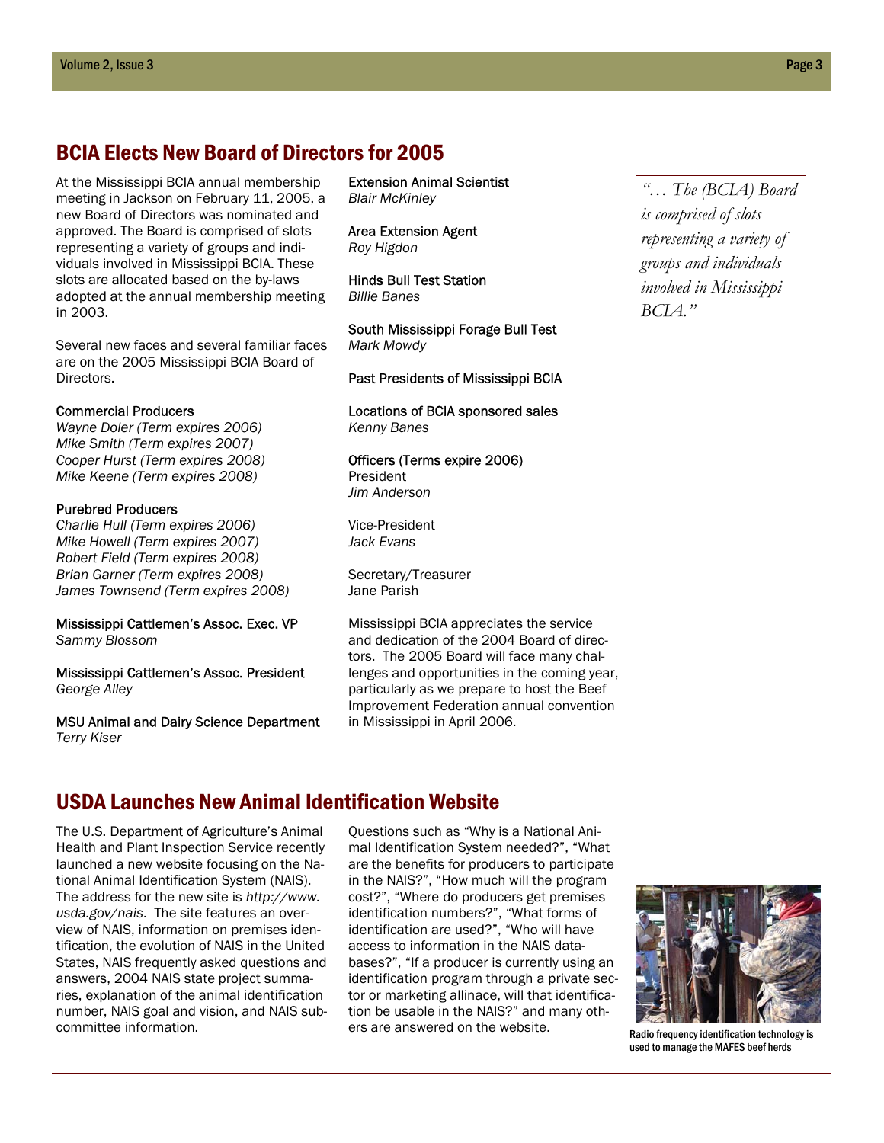## BCIA Elects New Board of Directors for 2005

At the Mississippi BCIA annual membership meeting in Jackson on February 11, 2005, a new Board of Directors was nominated and approved. The Board is comprised of slots representing a variety of groups and individuals involved in Mississippi BCIA. These slots are allocated based on the by-laws adopted at the annual membership meeting in 2003.

Several new faces and several familiar faces are on the 2005 Mississippi BCIA Board of Directors.

#### Commercial Producers

*Wayne Doler (Term expires 2006) Mike Smith (Term expires 2007) Cooper Hurst (Term expires 2008) Mike Keene (Term expires 2008)* 

#### Purebred Producers

*Charlie Hull (Term expires 2006) Mike Howell (Term expires 2007) Robert Field (Term expires 2008) Brian Garner (Term expires 2008) James Townsend (Term expires 2008)* 

Mississippi Cattlemen's Assoc. Exec. VP *Sammy Blossom* 

Mississippi Cattlemen's Assoc. President *George Alley* 

MSU Animal and Dairy Science Department *Terry Kiser* 

Extension Animal Scientist *Blair McKinley* 

Area Extension Agent *Roy Higdon* 

Hinds Bull Test Station *Billie Banes* 

South Mississippi Forage Bull Test *Mark Mowdy* 

Past Presidents of Mississippi BCIA

Locations of BCIA sponsored sales *Kenny Banes* 

Officers (Terms expire 2006) President *Jim Anderson* 

Vice-President *Jack Evans* 

Secretary/Treasurer Jane Parish

Mississippi BCIA appreciates the service and dedication of the 2004 Board of directors. The 2005 Board will face many challenges and opportunities in the coming year, particularly as we prepare to host the Beef Improvement Federation annual convention in Mississippi in April 2006.

## USDA Launches New Animal Identification Website

The U.S. Department of Agriculture's Animal Health and Plant Inspection Service recently launched a new website focusing on the National Animal Identification System (NAIS). The address for the new site is *http://www. usda.gov/nais*. The site features an overview of NAIS, information on premises identification, the evolution of NAIS in the United States, NAIS frequently asked questions and answers, 2004 NAIS state project summaries, explanation of the animal identification number, NAIS goal and vision, and NAIS subcommittee information.

Questions such as "Why is a National Animal Identification System needed?", "What are the benefits for producers to participate in the NAIS?", "How much will the program cost?", "Where do producers get premises identification numbers?", "What forms of identification are used?", "Who will have access to information in the NAIS databases?", "If a producer is currently using an identification program through a private sector or marketing allinace, will that identification be usable in the NAIS?" and many others are answered on the website.

*"… The (BCIA) Board is comprised of slots representing a variety of groups and individuals involved in Mississippi BCIA."* 



Radio frequency identification technology is used to manage the MAFES beef herds